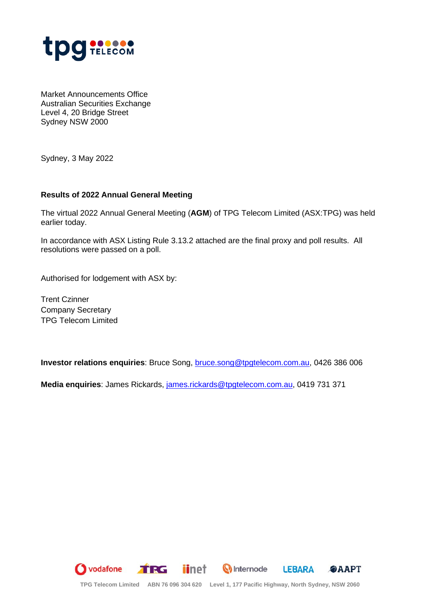

Market Announcements Office Australian Securities Exchange Level 4, 20 Bridge Street Sydney NSW 2000

Sydney, 3 May 2022

## **Results of 2022 Annual General Meeting**

The virtual 2022 Annual General Meeting (**AGM**) of TPG Telecom Limited (ASX:TPG) was held earlier today.

In accordance with ASX Listing Rule 3.13.2 attached are the final proxy and poll results. All resolutions were passed on a poll.

Authorised for lodgement with ASX by:

Trent Czinner Company Secretary TPG Telecom Limited

**Investor relations enquiries**: Bruce Song, [bruce.song@tpgtelecom.com.au,](mailto:bruce.song@tpgtelecom.com.au) 0426 386 006

**Media enquiries**: James Rickards, [james.rickards@tpgtelecom.com.au,](mailto:james.rickards@tpgtelecom.com.au) 0419 731 371